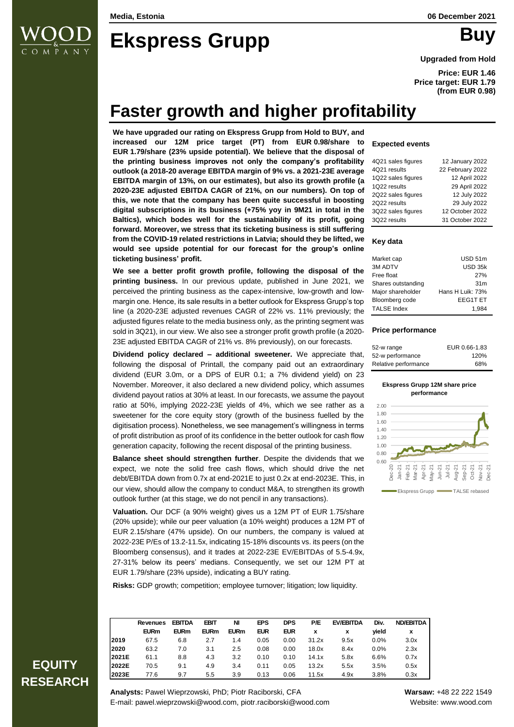

# **Ekspress Grupp** Buy

**Upgraded from Hold**

**Price: EUR 1.46 Price target: EUR 1.79 (from EUR 0.98)**

## **Faster growth and higher profitability**

**We have upgraded our rating on Ekspress Grupp from Hold to BUY, and increased our 12M price target (PT) from EUR 0.98/share to EUR 1.79/share (23% upside potential). We believe that the disposal of the printing business improves not only the company's profitability outlook (a 2018-20 average EBITDA margin of 9% vs. a 2021-23E average EBITDA margin of 13%, on our estimates), but also its growth profile (a 2020-23E adjusted EBITDA CAGR of 21%, on our numbers). On top of this, we note that the company has been quite successful in boosting digital subscriptions in its business (+75% yoy in 9M21 in total in the Baltics), which bodes well for the sustainability of its profit, going forward. Moreover, we stress that its ticketing business is still suffering from the COVID-19 related restrictions in Latvia; should they be lifted, we would see upside potential for our forecast for the group's online ticketing business' profit.** 

**We see a better profit growth profile, following the disposal of the printing business.** In our previous update, published in June 2021, we perceived the printing business as the capex-intensive, low-growth and lowmargin one. Hence, its sale results in a better outlook for Ekspress Grupp's top line (a 2020-23E adjusted revenues CAGR of 22% vs. 11% previously; the adjusted figures relate to the media business only, as the printing segment was sold in 3Q21), in our view. We also see a stronger profit growth profile (a 2020- 23E adjusted EBITDA CAGR of 21% vs. 8% previously), on our forecasts.

**Dividend policy declared – additional sweetener.** We appreciate that, following the disposal of Printall, the company paid out an extraordinary dividend (EUR 3.0m, or a DPS of EUR 0.1; a 7% dividend yield) on 23 November. Moreover, it also declared a new dividend policy, which assumes dividend payout ratios at 30% at least. In our forecasts, we assume the payout ratio at 50%, implying 2022-23E yields of 4%, which we see rather as a sweetener for the core equity story (growth of the business fuelled by the digitisation process). Nonetheless, we see management's willingness in terms of profit distribution as proof of its confidence in the better outlook for cash flow generation capacity, following the recent disposal of the printing business.

**Balance sheet should strengthen further**. Despite the dividends that we expect, we note the solid free cash flows, which should drive the net debt/EBITDA down from 0.7x at end-2021E to just 0.2x at end-2023E. This, in our view, should allow the company to conduct M&A, to strengthen its growth outlook further (at this stage, we do not pencil in any transactions).

**Valuation.** Our DCF (a 90% weight) gives us a 12M PT of EUR 1.75/share (20% upside); while our peer valuation (a 10% weight) produces a 12M PT of EUR 2.15/share (47% upside). On our numbers, the company is valued at 2022-23E P/Es of 13.2-11.5x, indicating 15-18% discounts vs. its peers (on the Bloomberg consensus), and it trades at 2022-23E EV/EBITDAs of 5.5-4.9x, 27-31% below its peers' medians. Consequently, we set our 12M PT at EUR 1.79/share (23% upside), indicating a BUY rating.

**Risks:** GDP growth; competition; employee turnover; litigation; low liquidity.

**Revenues EBITDA EBIT NI EPS DPS P/E EV/EBITDA Div. ND/EBITDA EURm EURm EURm EURm EUR EUR x x yield x 2019** 67.5 6.8 2.7 1.4 0.05 0.00 31.2x 9.5x 0.0% 3.0x **2020** 63.2 7.0 3.1 2.5 0.08 0.00 18.0x 8.4x 0.0% 2.3x **2021E** 61.1 8.8 4.3 3.2 0.10 0.10 14.1x 5.8x 6.6% 0.7x **2022E** 70.5 9.1 4.9 3.4 0.11 0.05 13.2x 5.5x 3.5% 0.5x **2023E** 77.6 9.7 5.5 3.9 0.13 0.06 11.5x 4.9x 3.8% 0.3x

### **Expected events**

| 4Q21 sales figures | 12 January 2022  |
|--------------------|------------------|
| 4Q21 results       | 22 February 2022 |
| 1Q22 sales figures | 12 April 2022    |
| 1Q22 results       | 29 April 2022    |
| 2Q22 sales figures | 12 July 2022     |
| 2Q22 results       | 29 July 2022     |
| 3Q22 sales figures | 12 October 2022  |
| 3Q22 results       | 31 October 2022  |

### **Key data**

| Market cap         | USD 51m          |
|--------------------|------------------|
| 3M ADTV            | USD 35k          |
| Free float         | 27%              |
| Shares outstanding | 31 <sub>m</sub>  |
| Major shareholder  | Hans H Luik: 73% |
| Bloomberg code     | <b>EEG1T ET</b>  |
| <b>TALSE Index</b> | 1.984            |

#### **Price performance**

| 52-w range           | EUR 0.66-1.83 |
|----------------------|---------------|
| 52-w performance     | 120%          |
| Relative performance | 68%           |

#### **Ekspress Grupp 12M share price performance**



### **EQUITY RESEARCH**

**Analysts:** Pawel Wieprzowski, PhD; Piotr Raciborski, CFA **Warsaw:** +48 22 222 1549 E-mail: pawel.wieprzowski@wood.com, piotr.raciborski@wood.com Website: www.wood.com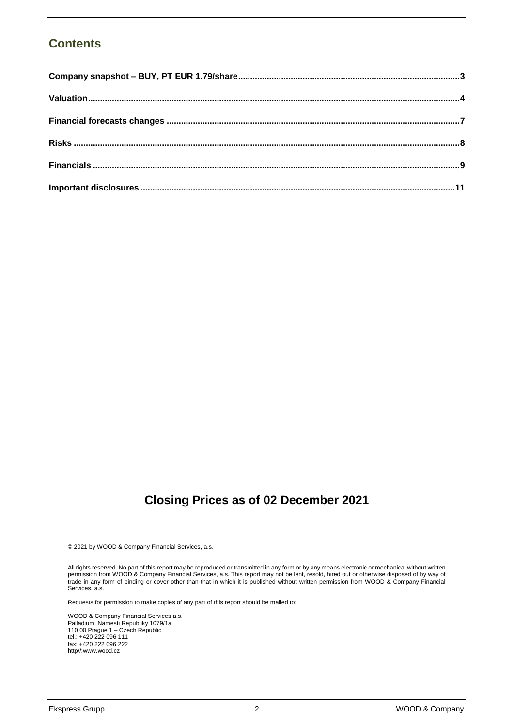### **Contents**

### **Closing Prices as of 02 December 2021**

© 2021 by WOOD & Company Financial Services, a.s.

All rights reserved. No part of this report may be reproduced or transmitted in any form or by any means electronic or mechanical without written permission from WOOD & Company Financial Services, a.s. This report may not be lent, resold, hired out or otherwise disposed of by way of trade in any form of binding or cover other than that in which it is published without written permission from WOOD & Company Financial Services, a.s.

Requests for permission to make copies of any part of this report should be mailed to:

WOOD & Company Financial Services a.s. Palladium, Namesti Republiky 1079/1a, 110 00 Prague 1 – Czech Republic tel.: +420 222 096 111 fax: +420 222 096 222 http//:www.wood.cz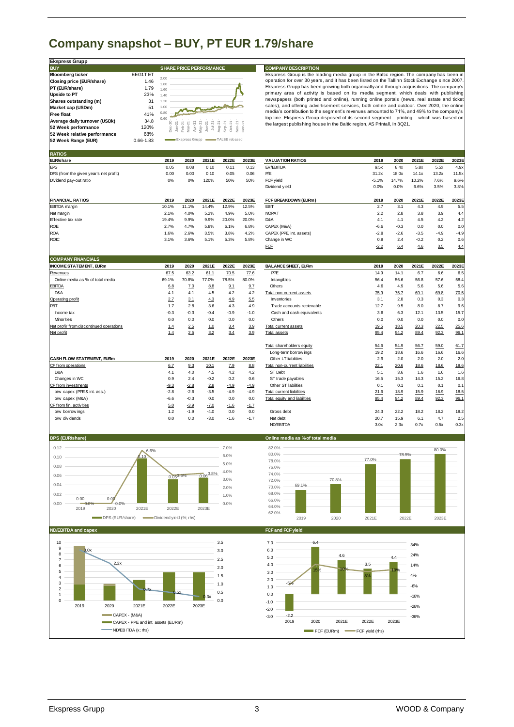### <span id="page-2-0"></span>**Company snapshot – BUY, PT EUR 1.79/share**

| <b>Ekspress Grupp</b>                                                                                                                                                                                                                                     |                                                                                 |                                                                                                                                                                                                   |                                                                                                                                                                                                                                                                    |
|-----------------------------------------------------------------------------------------------------------------------------------------------------------------------------------------------------------------------------------------------------------|---------------------------------------------------------------------------------|---------------------------------------------------------------------------------------------------------------------------------------------------------------------------------------------------|--------------------------------------------------------------------------------------------------------------------------------------------------------------------------------------------------------------------------------------------------------------------|
| <b>BUY</b>                                                                                                                                                                                                                                                |                                                                                 | <b>SHARE PRICE PERFORMANCE</b>                                                                                                                                                                    | <b>COMPANY DESCRIPTION</b>                                                                                                                                                                                                                                         |
| <b>Bloomberg ticker</b><br>Closing price (EUR/share)<br>PT (EUR/share)<br><b>Upside to PT</b><br>Shares outstanding (m)<br>Market cap (USDm)<br><b>Free float</b><br>Average daily turnover (USDk)<br>52 Week performance<br>52 Week relative performance | <b>EEG1TET</b><br>1.46<br>1.79<br>23%<br>31<br>51<br>41%<br>34.8<br>120%<br>68% | 2.00<br>1.80<br>1.60<br>1.40<br>1.20<br>1.00<br>0.80<br>0.60<br>Ş<br>$\sim$<br>ب<br>ای جاسا۔<br>جون میں جون ہے<br>Sep-2<br>$\sim$<br>Jan-<br>ke k<br>÷<br>Jā<br>TALSE rebased<br>Ekspress Grupp - | Ekspress Group is the lea<br>operation for over 30 years<br>Ekspress Grupp has been<br>primary area of activity<br>newspapers (both printed<br>sales), and offering adver<br>media's contribution to the<br>top line. Ekspress Group<br>the largest publishing hou |
| 52 Week Range (EUR)                                                                                                                                                                                                                                       | $0.66 - 1.83$                                                                   |                                                                                                                                                                                                   |                                                                                                                                                                                                                                                                    |

**EXECTS GROUP INTEREM COMPANY DESCRIPTION**<br>Ekspress Group is the leading media group in the Baltic region. The company has been in<br>Speration for over 30 years, and it has been listed on the Tallinn Stock Exchange since 200 Ekspress Grupp has been growing both organically and through acquisitions. The company's **COMPANY DESCRIPTION**<br>Ekspress Group is the leading media group in the Baltic region. The company has been in<br>operation for over 30 years, and it has been listed on the Tallinn Stock Exchange since 2007.<br>Ekspress Group has sales), and offering advertisement services, both online and outdoor. Over 2020, the online media's contribution to the segment's revenues amounted to 71%, and 49% to the company's operation for over 30 years, and it has been listed on the Tallinn Stock Exchange since 2007.<br>Ekspress Group has been growing both organically and through acquisitions. The company's<br>pimary area of activity is based on its the line. Ekspress Group disposed of its second segment – printing – which was based on<br>the largest publishing house in the Baltic region, AS Printall, in 3Q21.

| 52 Week Range (EUR)                                   | 0.66-1.83                          | Erspiess aigpt   |                  | — ГАГЭЕ ІАЛЯРА |               |                                             |                            |              |              |              |              |
|-------------------------------------------------------|------------------------------------|------------------|------------------|----------------|---------------|---------------------------------------------|----------------------------|--------------|--------------|--------------|--------------|
| <b>RATIOS</b>                                         |                                    |                  |                  |                |               |                                             |                            |              |              |              |              |
| EUR/share                                             | 2019                               | 2020             | 2021E            | 2022E          | 2023E         | <b>VALUATION RATIOS</b>                     | 2019                       | 2020         | 2021E        | 2022E        | 2023E        |
| EPS                                                   | 0.05                               | 0.08             | 0.10             | 0.11           | 0.13          | EV/EBITDA                                   | 9.5x                       | 8.4x         | 5.8x         | 5.5x         | 4.9x         |
| DPS (from the given year's net profit)                | 0.00                               | 0.00             | 0.10             | 0.05           | 0.06          | P/E                                         | 31.2x                      | 18.0x        | 14.1x        | 13.2x        | 11.5x        |
| Dividend pay-out ratio                                | 0%                                 | 0%               | 120%             | 50%            | 50%           | FCF yield                                   | $-5.1%$                    | 14.7%        | 10.2%        | 7.6%         | 9.6%         |
|                                                       |                                    |                  |                  |                |               | Dividend yield                              | 0.0%                       | 0.0%         | 6.6%         | 3.5%         | 3.8%         |
| <b>FINANCIAL RATIOS</b>                               | 2019                               | 2020             | 2021E            | 2022E          | 2023E         | FCF BREAKDOWN (EURm)                        | 2019                       | 2020         | 2021E        | 2022E        | 2023E        |
| <b>EBITDA</b> margin                                  | 10.1%                              | 11.1%            | 14.4%            | 12.9%          | 12.5%         | <b>EBIT</b>                                 | 2.7                        | 3.1          | 4.3          | 4.9          | 5.5          |
| Net margin                                            | 2.1%                               | 4.0%             | 5.2%             | 4.9%           | 5.0%          | <b>NOPAT</b>                                | 2.2                        | 2.8          | 3.8          | 3.9          | 4.4          |
| Effective tax rate                                    | 19.4%                              | 9.9%             | 9.9%             | 20.0%          | 20.0%         | D&A                                         | 4.1                        | 4.1          | 4.5          | 4.2          | 4.2          |
| <b>ROE</b>                                            | 2.7%                               | 4.7%             | 5.8%             | 6.1%           | 6.8%          | CAPEX (M&A)                                 | $-6.6$                     | $-0.3$       | 0.0          | 0.0          | 0.0          |
| <b>ROA</b>                                            | 1.6%                               | 2.6%             | 3.5%             | 3.8%           | 4.2%          | CAPEX (PPE, int. assets)                    | $-2.8$                     | $-2.6$       | $-3.5$       | $-4.9$       | $-4.9$       |
| <b>ROIC</b>                                           | 3.1%                               | 3.6%             | 5.1%             | 5.3%           | 5.8%          | Change in WC                                | 0.9                        | 2.4          | $-0.2$       | 0.2          | 0.6          |
|                                                       |                                    |                  |                  |                |               | <b>FCF</b>                                  | $-2.2$                     | 6.4          | 4.6          | 3.5          | 4.4          |
| <b>COMPANY FINANCIALS</b>                             |                                    |                  |                  |                |               |                                             |                            |              |              |              |              |
| <b>INCOME STATEMENT, EURm</b>                         | 2019                               | 2020             | 2021E            | 2022E          | 2023E         | <b>BALANCE SHEET, EURm</b>                  | 2019                       | 2020         | 2021E        | 2022E        | 2023E        |
| Revenues                                              | 67.5                               | 63.2             | 61.1             | 70.5           | 77.6          | PPE                                         | 14.9                       | 14.1         | 6.7          | 6.6          | 6.5          |
| Online media as % of total media                      | 69.1%                              | 70.8%            | 77.0%            | 78.5%          | 80.0%         | Intangibles                                 | 56.4                       | 56.6         | 56.8         | 57.6         | 58.4         |
| <b>EBITDA</b>                                         | 6.8                                | 7.0              | 8.8              | 9.1            | 9.7           | Others                                      | 4.6                        | 4.9          | 5.6          | 5.6          | 5.6          |
| D&A                                                   | $-4.1$                             | $-4.1$           | $-4.5$           | $-4.2$         | $-4.2$        | Total non-current assets                    | 75.9                       | 75.7         | 69.1         | 69.8         | 70.5         |
| Operating profit                                      | 2.7                                | 3.1              | 4.3              | 4.9            | 5.5           | Inventories                                 | 3.1                        | 2.8          | 0.3          | 0.3          | 0.3          |
| PBT                                                   | 1.7                                | 2.8              | 3.6              | 4.3            | 4.9           | Trade accounts recievable                   | 12.7                       | 9.5          | 8.0          | 8.7          | 9.6          |
| Income tax                                            | $-0.3$                             | $-0.3$           | $-0.4$           | $-0.9$         | $-1.0$        | Cash and cash equivalents                   | 3.6                        | 6.3          | 12.1         | 13.5         | 15.7         |
| Minorities                                            | 0.0                                | 0.0              | 0.0              | 0.0            | 0.0           | Others                                      | 0.0                        | 0.0          | 0.0          | 0.0          | 0.0          |
| Net profir from discontinued operations<br>Net profit | 1.4                                | 2.5<br>2.5       | 1.0<br>3.2       | 3.4            | 3.9           | Total current assets<br><b>Total assets</b> | 19.5                       | 18.5<br>94.2 | 20.3<br>89.4 | 22.5<br>92.3 | 25.6<br>96.1 |
|                                                       | 1.4                                |                  |                  | 3.4            | 3.9           |                                             | 95.4                       |              |              |              |              |
|                                                       |                                    |                  |                  |                |               | Total shareholders equity                   | 54.6                       | 54.9         | 56.7         | 59.0         | 61.7         |
|                                                       |                                    |                  |                  |                |               | Long-term borrow ings                       | 19.2                       | 18.6         | 16.6         | 16.6         | 16.6         |
| CASH FLOW STATEMENT, EURm                             | 2019                               | 2020             | 2021E            | 2022E          | 2023E         | Other LT liabilities                        | 2.9                        | 2.0          | 2.0          | 2.0          | 2.0          |
| CF from operations                                    | 6.7                                | 9.3              | 10.1             | 7.9            | 8.8           | Total non-current liabilities               | 22.1                       | 20.6         | 18.6         | 18.6         | 18.6         |
| D&A                                                   | 4.1                                | 4.0              | 4.5              | 4.2            | 4.2           | <b>ST Debt</b>                              | 5.1                        | 3.6          | 1.6          | 1.6          | 1.6          |
| Changes in WC                                         | 0.9                                | 2.4              | $-0.2$           | 0.2            | 0.6           | ST trade payables                           | 16.5                       | 15.3         | 14.3         | 15.2         | 16.8         |
| CF from investments                                   | $-9.3$                             | $-2.8$           | 2.8              | $-4.9$         | $-4.9$        | Other ST liabilities                        | 0.1                        | 0.1          | 0.1          | 0.1          | 0.1          |
| o/w capex (PPE & int. ass.)                           | $-2.8$                             | $-2.6$           | $-3.5$           | $-4.9$         | $-4.9$        | <b>Total current liabilities</b>            | 21.6                       | 18.9         | 15.9         | 16.9         | 18.5         |
| o/w capex (M&A)                                       | $-6.6$                             | $-0.3$           | 0.0              | 0.0            | 0.0           | <b>Total equity and liabilities</b>         | 95.4                       | 94.2         | 89.4         | 92.3         | 96.1         |
| CF from fin. activities<br>o/w borrowings             | 5.0<br>1.2                         | $-3.9$<br>$-1.9$ | $-7.0$<br>$-4.0$ | $-1.6$<br>0.0  | $-1.7$<br>0.0 | Gross debt                                  | 24.3                       | 22.2         | 18.2         | 18.2         | 18.2         |
| o/w dividends                                         | 0.0                                | 0.0              | $-3.0$           | $-1.6$         | $-1.7$        | Net debt                                    | 20.7                       | 15.9         | 6.1          | 4.7          | 2.5          |
|                                                       |                                    |                  |                  |                |               | ND/EBITDA                                   | 3.0x                       | 2.3x         | 0.7x         | 0.5x         | 0.3x         |
| DPS (EUR/share)                                       |                                    |                  |                  |                |               |                                             |                            |              |              |              |              |
|                                                       |                                    |                  |                  |                |               | Online media as % of total media            |                            |              |              |              |              |
| 0.12                                                  | 6.6%                               |                  |                  | 7.0%           |               | 82.0%                                       |                            |              |              | 80.0%        |              |
| 0.10                                                  | 0.10                               |                  |                  | 6.0%           |               | 80.0%                                       | 77.0%                      | 78.5%        |              |              |              |
| 0.08                                                  |                                    |                  |                  | 5.0%           |               | 78.0%<br>76.0%                              |                            |              |              |              |              |
|                                                       |                                    |                  | $0.06^{3.8\%}$   | 4.0%           |               | 74.0%                                       |                            |              |              |              |              |
| 0.06                                                  | 0.053.5%                           |                  |                  | 3.0%           |               | 72.0%                                       | 70.8%                      |              |              |              |              |
| 0.04                                                  |                                    |                  |                  | 2.0%           |               | 69.1%<br>70.0%                              |                            |              |              |              |              |
| 0.02                                                  |                                    |                  |                  | 1.0%           |               | 68.0%                                       |                            |              |              |              |              |
| 0.00<br>0.00<br>0.00<br>0.0%<br>0.0%                  |                                    |                  |                  | 0.0%           |               | 66.0%                                       |                            |              |              |              |              |
| 2019<br>2020                                          | 2021E<br>2022E                     |                  | 2023E            |                |               | 64.0%                                       |                            |              |              |              |              |
| DPS (EUR/share)                                       | -Dividend yield (%; rhs)           |                  |                  |                |               | 62.0%<br>2019                               | 2020<br>2021E              | 2022E        |              | 2023E        |              |
| <b>ND/EBITDA and capex</b>                            |                                    |                  |                  |                |               | FCF and FCF yield                           |                            |              |              |              |              |
|                                                       |                                    |                  |                  |                |               |                                             |                            |              |              |              |              |
| 10<br>9<br>3.0x                                       |                                    |                  |                  | 3.5            |               | 6.4<br>7.0                                  |                            |              | 34%          |              |              |
| 8                                                     |                                    |                  |                  | 3.0            |               | 6.0                                         | 4.6                        |              | 24%          |              |              |
| 7<br>2.3x                                             |                                    |                  |                  | 2.5            |               | 5.0                                         | 3.5                        | 4.4          |              |              |              |
| 6                                                     |                                    |                  |                  | 2.0            |               | 4.0<br>15%                                  | 10 <sup>o</sup>            | 10%          | 14%          |              |              |
| 5<br>$\overline{4}$                                   |                                    |                  |                  | 1.5            |               | 3.0                                         | 8%                         |              | 4%           |              |              |
| 3                                                     |                                    |                  |                  | 1.0            |               | 2.0<br>$-5%$                                |                            |              |              |              |              |
| $\overline{2}$                                        |                                    |                  |                  | 0.5            |               | 1.0                                         |                            |              | $-6%$        |              |              |
| 1                                                     |                                    |                  | 3x               |                |               | 0.0                                         |                            |              | $-16%$       |              |              |
| $\mathsf 0$<br>2019<br>2020                           | 2021E<br>2022E                     |                  | 2023E            | 0.0            |               | $-1.0$                                      |                            |              | $-26%$       |              |              |
|                                                       |                                    |                  |                  |                |               | $-20$                                       |                            |              |              |              |              |
| CAPEX - (M&A)                                         |                                    |                  |                  |                |               | $-2.2$<br>$-30$<br>2019<br>2020             | 2021E<br>2022E             | 2023E        | $-36%$       |              |              |
|                                                       | CAPEX - PPE and int. assets (EURm) |                  |                  |                |               |                                             |                            |              |              |              |              |
| $\longrightarrow$ ND/EBITDA (x; rhs)                  |                                    |                  |                  |                |               |                                             | FCF (EURm) FCF yield (rhs) |              |              |              |              |
|                                                       |                                    |                  |                  |                |               |                                             |                            |              |              |              |              |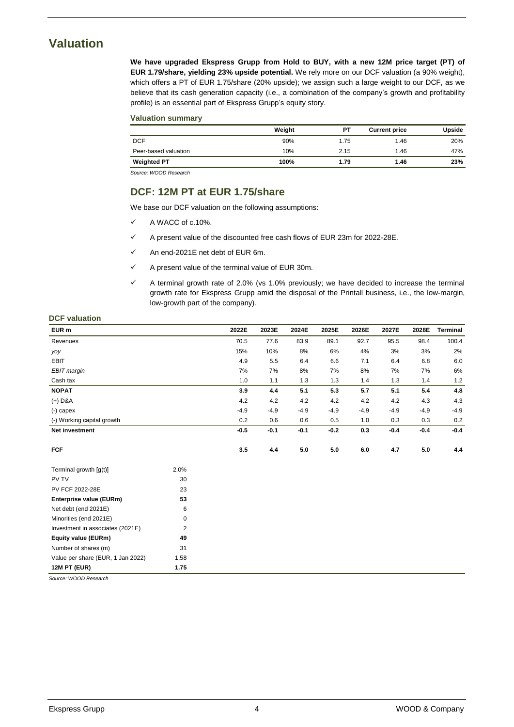### <span id="page-3-0"></span>**Valuation**

**We have upgraded Ekspress Grupp from Hold to BUY, with a new 12M price target (PT) of EUR 1.79/share, yielding 23% upside potential.** We rely more on our DCF valuation (a 90% weight), which offers a PT of EUR 1.75/share (20% upside); we assign such a large weight to our DCF, as we believe that its cash generation capacity (i.e., a combination of the company's growth and profitability profile) is an essential part of Ekspress Grupp's equity story.

### **Valuation summary**

|                      | Weight | PT   | <b>Current price</b> | Upside |
|----------------------|--------|------|----------------------|--------|
| <b>DCF</b>           | 90%    | 1.75 | 1.46                 | 20%    |
| Peer-based valuation | 10%    | 2.15 | 1.46                 | 47%    |
| <b>Weighted PT</b>   | 100%   | 1.79 | 1.46                 | 23%    |

*Source: WOOD Research*

### **DCF: 12M PT at EUR 1.75/share**

We base our DCF valuation on the following assumptions:

- $\checkmark$  A WACC of c.10%.
- $\checkmark$  A present value of the discounted free cash flows of EUR 23m for 2022-28E.
- An end-2021E net debt of EUR 6m.
- $\checkmark$  A present value of the terminal value of EUR 30m.
- $\checkmark$  A terminal growth rate of 2.0% (vs 1.0% previously; we have decided to increase the terminal growth rate for Ekspress Grupp amid the disposal of the Printall business, i.e., the low-margin, low-growth part of the company).

### **DCF valuation**

| EUR m                             |                | 2022E  | 2023E  | 2024E  | 2025E  | 2026E   | 2027E  | 2028E  | <b>Terminal</b> |
|-----------------------------------|----------------|--------|--------|--------|--------|---------|--------|--------|-----------------|
| Revenues                          |                | 70.5   | 77.6   | 83.9   | 89.1   | 92.7    | 95.5   | 98.4   | 100.4           |
| yoy                               |                | 15%    | 10%    | 8%     | 6%     | 4%      | 3%     | 3%     | 2%              |
| <b>EBIT</b>                       |                | 4.9    | 5.5    | 6.4    | 6.6    | 7.1     | 6.4    | 6.8    | 6.0             |
| EBIT margin                       |                | 7%     | 7%     | 8%     | 7%     | 8%      | 7%     | 7%     | 6%              |
| Cash tax                          |                | 1.0    | 1.1    | 1.3    | 1.3    | 1.4     | 1.3    | 1.4    | 1.2             |
| <b>NOPAT</b>                      |                | 3.9    | 4.4    | 5.1    | 5.3    | 5.7     | 5.1    | 5.4    | 4.8             |
| $(+)$ D&A                         |                | 4.2    | 4.2    | 4.2    | 4.2    | 4.2     | 4.2    | 4.3    | 4.3             |
| $(-)$ capex                       |                | $-4.9$ | $-4.9$ | $-4.9$ | $-4.9$ | $-4.9$  | $-4.9$ | $-4.9$ | $-4.9$          |
| (-) Working capital growth        |                | 0.2    | 0.6    | 0.6    | 0.5    | 1.0     | 0.3    | 0.3    | 0.2             |
| Net investment                    |                | $-0.5$ | $-0.1$ | $-0.1$ | $-0.2$ | 0.3     | $-0.4$ | $-0.4$ | $-0.4$          |
|                                   |                |        |        |        |        |         |        |        |                 |
| <b>FCF</b>                        |                | 3.5    | 4.4    | 5.0    | 5.0    | $6.0\,$ | 4.7    | 5.0    | 4.4             |
| Terminal growth $[g(t)]$          | 2.0%           |        |        |        |        |         |        |        |                 |
| PV TV                             | 30             |        |        |        |        |         |        |        |                 |
| PV FCF 2022-28E                   | 23             |        |        |        |        |         |        |        |                 |
| Enterprise value (EURm)           | 53             |        |        |        |        |         |        |        |                 |
| Net debt (end 2021E)              | 6              |        |        |        |        |         |        |        |                 |
| Minorities (end 2021E)            | 0              |        |        |        |        |         |        |        |                 |
| Investment in associates (2021E)  | $\overline{2}$ |        |        |        |        |         |        |        |                 |
| Equity value (EURm)               | 49             |        |        |        |        |         |        |        |                 |
| Number of shares (m)              | 31             |        |        |        |        |         |        |        |                 |
| Value per share (EUR, 1 Jan 2022) | 1.58           |        |        |        |        |         |        |        |                 |
| <b>12M PT (EUR)</b>               | 1.75           |        |        |        |        |         |        |        |                 |

*Source: WOOD Research*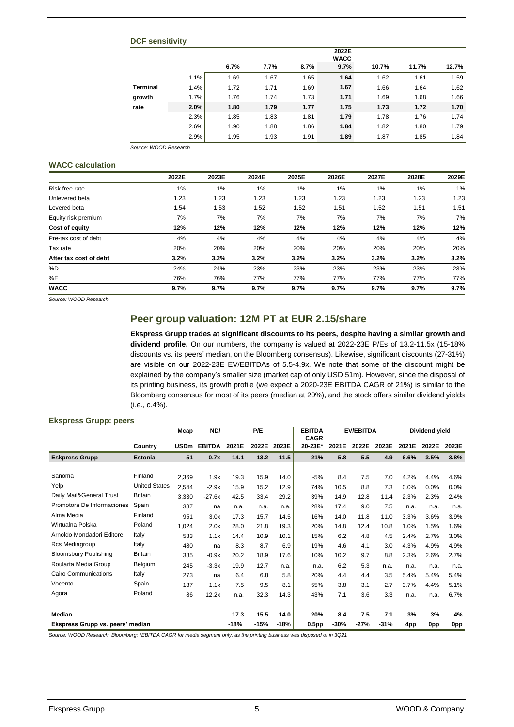### **DCF sensitivity**

|                 |      |      |      |      | 2022E<br><b>WACC</b> |       |       |       |
|-----------------|------|------|------|------|----------------------|-------|-------|-------|
|                 |      | 6.7% | 7.7% | 8.7% | 9.7%                 | 10.7% | 11.7% | 12.7% |
|                 | 1.1% | 1.69 | 1.67 | 1.65 | 1.64                 | 1.62  | 1.61  | 1.59  |
| <b>Terminal</b> | 1.4% | 1.72 | 1.71 | 1.69 | 1.67                 | 1.66  | 1.64  | 1.62  |
| growth          | 1.7% | 1.76 | 1.74 | 1.73 | 1.71                 | 1.69  | 1.68  | 1.66  |
| rate            | 2.0% | 1.80 | 1.79 | 1.77 | 1.75                 | 1.73  | 1.72  | 1.70  |
|                 | 2.3% | 1.85 | 1.83 | 1.81 | 1.79                 | 1.78  | 1.76  | 1.74  |
|                 | 2.6% | 1.90 | 1.88 | 1.86 | 1.84                 | 1.82  | 1.80  | 1.79  |
|                 | 2.9% | 1.95 | 1.93 | 1.91 | 1.89                 | 1.87  | 1.85  | 1.84  |

*Source: WOOD Research*

### **WACC calculation**

|                        | 2022E | 2023E | 2024E | 2025E | 2026E | 2027E | 2028E | 2029E |
|------------------------|-------|-------|-------|-------|-------|-------|-------|-------|
| Risk free rate         | 1%    | 1%    | 1%    | 1%    | 1%    | 1%    | 1%    | 1%    |
| Unlevered beta         | 1.23  | 1.23  | 1.23  | 1.23  | 1.23  | 1.23  | 1.23  | 1.23  |
| Levered beta           | 1.54  | 1.53  | 1.52  | 1.52  | 1.51  | 1.52  | 1.51  | 1.51  |
| Equity risk premium    | 7%    | 7%    | 7%    | 7%    | 7%    | 7%    | 7%    | 7%    |
| Cost of equity         | 12%   | 12%   | 12%   | 12%   | 12%   | 12%   | 12%   | 12%   |
| Pre-tax cost of debt   | 4%    | 4%    | 4%    | 4%    | 4%    | 4%    | 4%    | 4%    |
| Tax rate               | 20%   | 20%   | 20%   | 20%   | 20%   | 20%   | 20%   | 20%   |
| After tax cost of debt | 3.2%  | 3.2%  | 3.2%  | 3.2%  | 3.2%  | 3.2%  | 3.2%  | 3.2%  |
| %D                     | 24%   | 24%   | 23%   | 23%   | 23%   | 23%   | 23%   | 23%   |
| %E                     | 76%   | 76%   | 77%   | 77%   | 77%   | 77%   | 77%   | 77%   |
| <b>WACC</b>            | 9.7%  | 9.7%  | 9.7%  | 9.7%  | 9.7%  | 9.7%  | 9.7%  | 9.7%  |

*Source: WOOD Research*

### **Peer group valuation: 12M PT at EUR 2.15/share**

**Ekspress Grupp trades at significant discounts to its peers, despite having a similar growth and dividend profile.** On our numbers, the company is valued at 2022-23E P/Es of 13.2-11.5x (15-18% discounts vs. its peers' median, on the Bloomberg consensus). Likewise, significant discounts (27-31%) are visible on our 2022-23E EV/EBITDAs of 5.5-4.9x. We note that some of the discount might be explained by the company's smaller size (market cap of only USD 51m). However, since the disposal of its printing business, its growth profile (we expect a 2020-23E EBITDA CAGR of 21%) is similar to the Bloomberg consensus for most of its peers (median at 20%), and the stock offers similar dividend yields (i.e., c.4%).

### **Ekspress Grupp: peers**

|                                  |                      | Mcap        | ND/           |        | P/E    |        | <b>EBITDA</b><br><b>CAGR</b> |        | <b>EV/EBITDA</b> |        |       | Dividend yield |                 |
|----------------------------------|----------------------|-------------|---------------|--------|--------|--------|------------------------------|--------|------------------|--------|-------|----------------|-----------------|
|                                  | Country              | <b>USDm</b> | <b>EBITDA</b> | 2021E  | 2022E  | 2023E  | 20-23E*                      | 2021E  | 2022E            | 2023E  | 2021E | 2022E          | 2023E           |
| <b>Eskpress Grupp</b>            | <b>Estonia</b>       | 51          | 0.7x          | 14.1   | 13.2   | 11.5   | 21%                          | 5.8    | 5.5              | 4.9    | 6.6%  | 3.5%           | 3.8%            |
|                                  |                      |             |               |        |        |        |                              |        |                  |        |       |                |                 |
| Sanoma                           | Finland              | 2,369       | 1.9x          | 19.3   | 15.9   | 14.0   | $-5%$                        | 8.4    | 7.5              | 7.0    | 4.2%  | 4.4%           | 4.6%            |
| Yelp                             | <b>United States</b> | 2,544       | $-2.9x$       | 15.9   | 15.2   | 12.9   | 74%                          | 10.5   | 8.8              | 7.3    | 0.0%  | 0.0%           | 0.0%            |
| Daily Mail&General Trust         | <b>Britain</b>       | 3,330       | $-27.6x$      | 42.5   | 33.4   | 29.2   | 39%                          | 14.9   | 12.8             | 11.4   | 2.3%  | 2.3%           | 2.4%            |
| Promotora De Informaciones       | Spain                | 387         | na            | n.a.   | n.a.   | n.a.   | 28%                          | 17.4   | 9.0              | 7.5    | n.a.  | n.a.           | n.a.            |
| Alma Media                       | Finland              | 951         | 3.0x          | 17.3   | 15.7   | 14.5   | 16%                          | 14.0   | 11.8             | 11.0   | 3.3%  | 3.6%           | 3.9%            |
| Wirtualna Polska                 | Poland               | 1,024       | 2.0x          | 28.0   | 21.8   | 19.3   | 20%                          | 14.8   | 12.4             | 10.8   | 1.0%  | 1.5%           | 1.6%            |
| Arnoldo Mondadori Editore        | Italy                | 583         | 1.1x          | 14.4   | 10.9   | 10.1   | 15%                          | 6.2    | 4.8              | 4.5    | 2.4%  | 2.7%           | 3.0%            |
| Rcs Mediagroup                   | Italy                | 480         | na            | 8.3    | 8.7    | 6.9    | 19%                          | 4.6    | 4.1              | 3.0    | 4.3%  | 4.9%           | 4.9%            |
| <b>Bloomsbury Publishing</b>     | <b>Britain</b>       | 385         | $-0.9x$       | 20.2   | 18.9   | 17.6   | 10%                          | 10.2   | 9.7              | 8.8    | 2.3%  | 2.6%           | 2.7%            |
| Roularta Media Group             | Belgium              | 245         | $-3.3x$       | 19.9   | 12.7   | n.a.   | n.a.                         | 6.2    | 5.3              | n.a.   | n.a.  | n.a.           | n.a.            |
| Cairo Communications             | Italy                | 273         | na            | 6.4    | 6.8    | 5.8    | 20%                          | 4.4    | 4.4              | 3.5    | 5.4%  | 5.4%           | 5.4%            |
| Vocento                          | Spain                | 137         | 1.1x          | 7.5    | 9.5    | 8.1    | 55%                          | 3.8    | 3.1              | 2.7    | 3.7%  | 4.4%           | 5.1%            |
| Agora                            | Poland               | 86          | 12.2x         | n.a.   | 32.3   | 14.3   | 43%                          | 7.1    | 3.6              | 3.3    | n.a.  | n.a.           | 6.7%            |
|                                  |                      |             |               |        |        |        |                              |        |                  |        |       |                |                 |
| Median                           |                      |             |               | 17.3   | 15.5   | 14.0   | 20%                          | 8.4    | 7.5              | 7.1    | 3%    | 3%             | 4%              |
| Ekspress Grupp vs. peers' median |                      |             |               | $-18%$ | $-15%$ | $-18%$ | 0.5 <sub>pp</sub>            | $-30%$ | $-27%$           | $-31%$ | 4pp   | 0pp            | 0 <sub>pp</sub> |

*Source: WOOD Research, Bloomberg; \*EBITDA CAGR for media segment only, as the printing business was disposed of in 3Q21*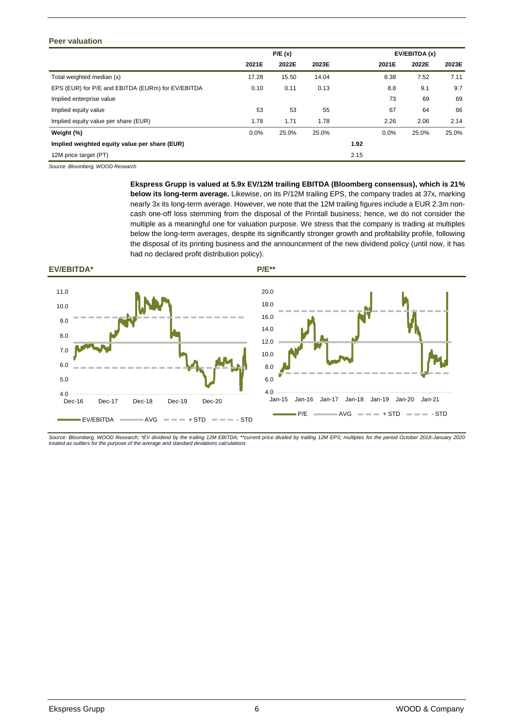### **Peer valuation**

|                                                   | P/E(x)<br>EV/EBITDA (x) |       |       |      |       |       |       |
|---------------------------------------------------|-------------------------|-------|-------|------|-------|-------|-------|
|                                                   | 2021E                   | 2022E | 2023E |      | 2021E | 2022E | 2023E |
| Total weighted median (x)                         | 17.28                   | 15.50 | 14.04 |      | 8.38  | 7.52  | 7.11  |
| EPS (EUR) for P/E and EBITDA (EURm) for EV/EBITDA | 0.10                    | 0.11  | 0.13  |      | 8.8   | 9.1   | 9.7   |
| Implied enterprise value                          |                         |       |       |      | 73    | 69    | 69    |
| Implied equity value                              | 53                      | 53    | 55    |      | 67    | 64    | 66    |
| Implied equity value per share (EUR)              | 1.78                    | 1.71  | 1.78  |      | 2.26  | 2.06  | 2.14  |
| Weight (%)                                        | 0.0%                    | 25.0% | 25.0% |      | 0.0%  | 25.0% | 25.0% |
| Implied weighted equity value per share (EUR)     |                         |       |       | 1.92 |       |       |       |
| 12M price target (PT)                             |                         |       |       | 2.15 |       |       |       |

*Source: Bloomberg, WOOD Research*

**Ekspress Grupp is valued at 5.9x EV/12M trailing EBITDA (Bloomberg consensus), which is 21% below its long-term average.** Likewise, on its P/12M trailing EPS, the company trades at 37x, marking nearly 3x its long-term average. However, we note that the 12M trailing figures include a EUR 2.3m noncash one-off loss stemming from the disposal of the Printall business; hence, we do not consider the multiple as a meaningful one for valuation purpose. We stress that the company is trading at multiples below the long-term averages, despite its significantly stronger growth and profitability profile, following the disposal of its printing business and the announcement of the new dividend policy (until now, it has had no declared profit distribution policy).



*Source: Bloomberg, WOOD Research; \*EV dividend by the trailing 12M EBITDA; \*\*current price divided by trailing 12M EPS; multiples for the period October 2018-January 2020 treated as outliers for the purpose of the average and standard deviations calculations*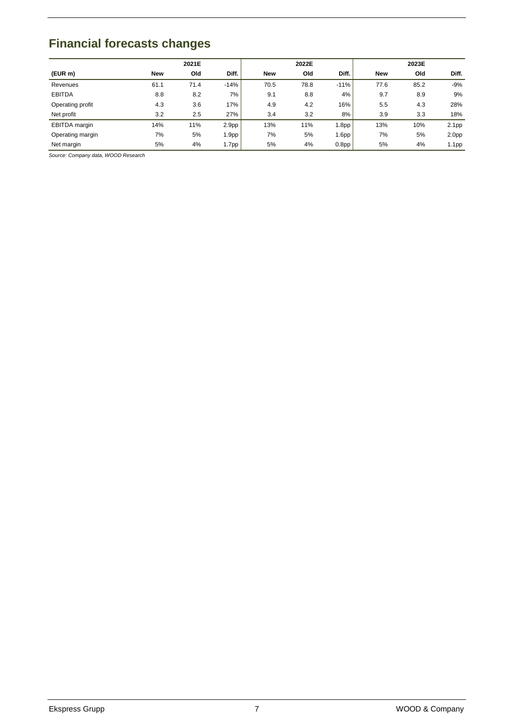### <span id="page-6-0"></span>**Financial forecasts changes**

|                  |            | 2021E |                   |            | 2022E |                   |            | 2023E |                   |
|------------------|------------|-------|-------------------|------------|-------|-------------------|------------|-------|-------------------|
| (EUR m)          | <b>New</b> | Old   | Diff.             | <b>New</b> | Old   | Diff.             | <b>New</b> | Old   | Diff.             |
| Revenues         | 61.1       | 71.4  | $-14%$            | 70.5       | 78.8  | $-11%$            | 77.6       | 85.2  | $-9%$             |
| <b>EBITDA</b>    | 8.8        | 8.2   | 7%                | 9.1        | 8.8   | 4%                | 9.7        | 8.9   | 9%                |
| Operating profit | 4.3        | 3.6   | 17%               | 4.9        | 4.2   | 16%               | 5.5        | 4.3   | 28%               |
| Net profit       | 3.2        | 2.5   | 27%               | 3.4        | 3.2   | 8%                | 3.9        | 3.3   | 18%               |
| EBITDA margin    | 14%        | 11%   | 2.9 <sub>pp</sub> | 13%        | 11%   | 1.8 <sub>pp</sub> | 13%        | 10%   | 2.1 <sub>pp</sub> |
| Operating margin | 7%         | 5%    | 1.9 <sub>pp</sub> | 7%         | 5%    | 1.6pp             | 7%         | 5%    | 2.0 <sub>pp</sub> |
| Net margin       | 5%         | 4%    | 1.7pp             | 5%         | 4%    | 0.8 <sub>pp</sub> | 5%         | 4%    | 1.1pp             |

*Source: Company data, WOOD Research*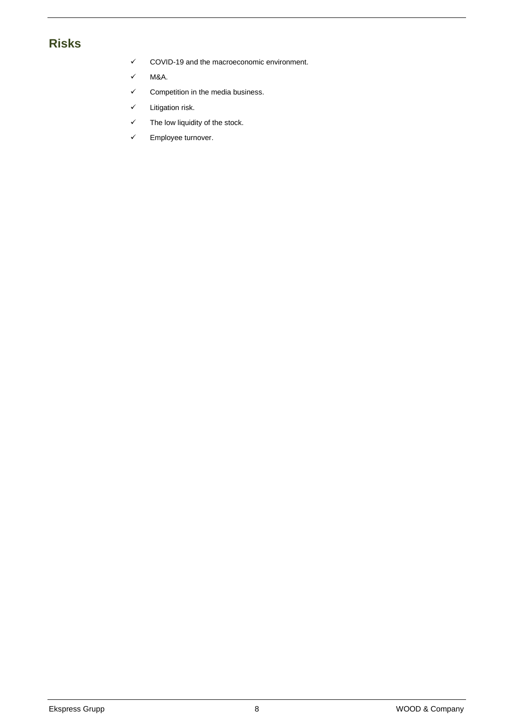### <span id="page-7-0"></span>**Risks**

- $\checkmark$  COVID-19 and the macroeconomic environment.
- $\times$  M&A.
- $\checkmark$  Competition in the media business.
- $\checkmark$  Litigation risk.
- $\checkmark$  The low liquidity of the stock.
- $\checkmark$  Employee turnover.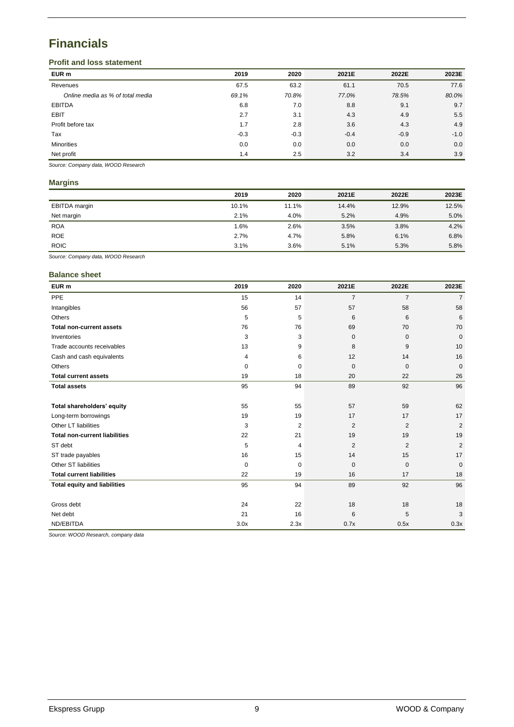### <span id="page-8-0"></span>**Financials**

### **Profit and loss statement**

| EUR m                            | 2019   | 2020   | 2021E  | 2022E  | 2023E  |
|----------------------------------|--------|--------|--------|--------|--------|
| Revenues                         | 67.5   | 63.2   | 61.1   | 70.5   | 77.6   |
| Online media as % of total media | 69.1%  | 70.8%  | 77.0%  | 78.5%  | 80.0%  |
| <b>EBITDA</b>                    | 6.8    | 7.0    | 8.8    | 9.1    | 9.7    |
| <b>EBIT</b>                      | 2.7    | 3.1    | 4.3    | 4.9    | 5.5    |
| Profit before tax                | 1.7    | 2.8    | 3.6    | 4.3    | 4.9    |
| Tax                              | $-0.3$ | $-0.3$ | $-0.4$ | $-0.9$ | $-1.0$ |
| <b>Minorities</b>                | 0.0    | 0.0    | 0.0    | 0.0    | 0.0    |
| Net profit                       | 1.4    | 2.5    | 3.2    | 3.4    | 3.9    |

*Source: Company data, WOOD Research*

### **Margins**

|               | 2019  | 2020  | 2021E | 2022E | 2023E |
|---------------|-------|-------|-------|-------|-------|
| EBITDA margin | 10.1% | 11.1% | 14.4% | 12.9% | 12.5% |
| Net margin    | 2.1%  | 4.0%  | 5.2%  | 4.9%  | 5.0%  |
| <b>ROA</b>    | 1.6%  | 2.6%  | 3.5%  | 3.8%  | 4.2%  |
| <b>ROE</b>    | 2.7%  | 4.7%  | 5.8%  | 6.1%  | 6.8%  |
| <b>ROIC</b>   | 3.1%  | 3.6%  | 5.1%  | 5.3%  | 5.8%  |

*Source: Company data, WOOD Research*

### **Balance sheet**

| EUR <sub>m</sub>                     | 2019 | 2020           | 2021E          | 2022E          | 2023E          |
|--------------------------------------|------|----------------|----------------|----------------|----------------|
| PPE                                  | 15   | 14             | $\overline{7}$ | $\overline{7}$ | $\overline{7}$ |
| Intangibles                          | 56   | 57             | 57             | 58             | 58             |
| Others                               | 5    | 5              | 6              | 6              | 6              |
| <b>Total non-current assets</b>      | 76   | 76             | 69             | 70             | 70             |
| Inventories                          | 3    | 3              | $\mathbf 0$    | $\mathbf 0$    | $\mathbf{0}$   |
| Trade accounts receivables           | 13   | 9              | 8              | 9              | 10             |
| Cash and cash equivalents            | 4    | 6              | 12             | 14             | 16             |
| Others                               | 0    | 0              | $\overline{0}$ | $\mathbf{0}$   | $\mathbf{0}$   |
| <b>Total current assets</b>          | 19   | 18             | 20             | 22             | 26             |
| <b>Total assets</b>                  | 95   | 94             | 89             | 92             | 96             |
|                                      |      |                |                |                |                |
| Total shareholders' equity           | 55   | 55             | 57             | 59             | 62             |
| Long-term borrowings                 | 19   | 19             | 17             | 17             | 17             |
| Other LT liabilities                 | 3    | $\overline{2}$ | $\overline{2}$ | $\overline{2}$ | 2              |
| <b>Total non-current liabilities</b> | 22   | 21             | 19             | 19             | 19             |
| ST debt                              | 5    | 4              | 2              | $\overline{2}$ | 2              |
| ST trade payables                    | 16   | 15             | 14             | 15             | 17             |
| Other ST liabilities                 | 0    | 0              | $\mathbf 0$    | $\mathbf 0$    | $\mathbf{0}$   |
| <b>Total current liabilities</b>     | 22   | 19             | 16             | 17             | 18             |
| <b>Total equity and liabilities</b>  | 95   | 94             | 89             | 92             | 96             |
|                                      |      |                |                |                |                |
| Gross debt                           | 24   | 22             | 18             | 18             | 18             |
| Net debt                             | 21   | 16             | 6              | 5              | 3              |
| ND/EBITDA                            | 3.0x | 2.3x           | 0.7x           | 0.5x           | 0.3x           |

*Source: WOOD Research, company data*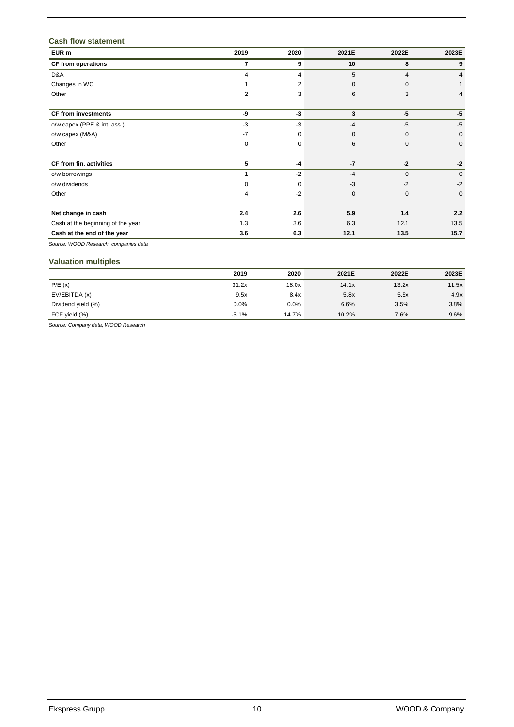### **Cash flow statement**

| EUR m                             | 2019 | 2020     | 2021E | 2022E          | 2023E        |
|-----------------------------------|------|----------|-------|----------------|--------------|
| <b>CF from operations</b>         | 7    | 9        | 10    | 8              | 9            |
| D&A                               | 4    | 4        | 5     | $\overline{4}$ | 4            |
| Changes in WC                     |      | 2        | 0     | $\mathbf 0$    |              |
| Other                             | 2    | 3        | 6     | 3              | 4            |
| <b>CF from investments</b>        | -9   | $-3$     | 3     | $-5$           | $-5$         |
| o/w capex (PPE & int. ass.)       | $-3$ | $-3$     | $-4$  | $-5$           | $-5$         |
| o/w capex (M&A)                   | $-7$ | 0        | 0     | $\mathbf 0$    | $\mathbf{0}$ |
| Other                             | 0    | 0        | 6     | $\pmb{0}$      | $\mathbf 0$  |
| CF from fin. activities           | 5    | $-4$     | $-7$  | $-2$           | $-2$         |
| o/w borrowings                    |      | $-2$     | $-4$  | $\mathbf 0$    | $\mathbf{0}$ |
| o/w dividends                     | 0    | $\Omega$ | $-3$  | $-2$           | $-2$         |
| Other                             | 4    | $-2$     | 0     | $\mathbf 0$    | 0            |
| Net change in cash                | 2.4  | 2.6      | 5.9   | 1.4            | 2.2          |
| Cash at the beginning of the year | 1.3  | 3.6      | 6.3   | 12.1           | 13.5         |
| Cash at the end of the year       | 3.6  | 6.3      | 12.1  | 13.5           | 15.7         |

*Source: WOOD Research, companies data*

### **Valuation multiples**

|                    | 2019    | 2020  | 2021E | 2022E | 2023E |
|--------------------|---------|-------|-------|-------|-------|
| P/E(x)             | 31.2x   | 18.0x | 14.1x | 13.2x | 11.5x |
| EV/EBITDA (x)      | 9.5x    | 8.4x  | 5.8x  | 5.5x  | 4.9x  |
| Dividend yield (%) | 0.0%    | 0.0%  | 6.6%  | 3.5%  | 3.8%  |
| FCF yield (%)      | $-5.1%$ | 14.7% | 10.2% | 7.6%  | 9.6%  |

*Source: Company data, WOOD Research*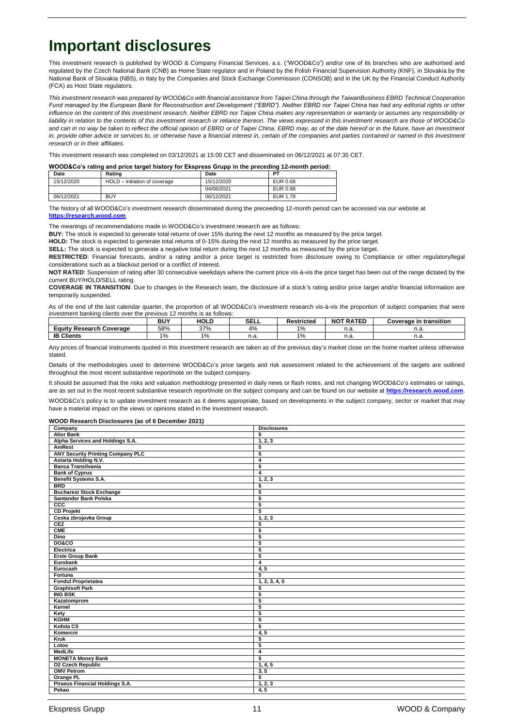### **Important disclosures**

This investment research is published by WOOD & Company Financial Services, a.s. ("WOOD&Co") and/or one of its branches who are authorised and regulated by the Czech National Bank (CNB) as Home State regulator and in Poland by the Polish Financial Supervision Authority (KNF), in Slovakia by the National Bank of Slovakia (NBS), in Italy by the Companies and Stock Exchange Commission (CONSOB) and in the UK by the Financial Conduct Authority (FCA) as Host State regulators.

*This investment research was prepared by WOOD&Co with financial assistance from Taipei China through the TaiwanBusiness EBRD Technical Cooperation Fund managed by the European Bank for Reconstruction and Development ("EBRD"). Neither EBRD nor Taipei China has had any editorial rights or other*  influence on the content of this investment research. Neither EBRD nor Taipei China makes any representation or warranty or assumes any responsibility or *liability in relation to the contents of this investment research or reliance thereon. The views expressed in this investment research are those of WOOD&Co*  and can in no way be taken to reflect the official opinion of EBRD or of Taipei China. EBRD may, as of the date hereof or in the future, have an investment in, provide other advice or services to, or otherwise have a financial interest in, certain of the companies and parties contained or named in this investment *research or in their affiliates.*

This investment research was completed on 03/12/2021 at 15:00 CET and disseminated on 06/12/2021 at 07:35 CET.

#### **WOOD&Co's rating and price target history for Ekspress Grupp in the preceding 12-month period:**

| Date       | Rating                        | Date       | PТ       |
|------------|-------------------------------|------------|----------|
| 15/12/2020 | HOLD - initiation of coverage | 15/12/2020 | EUR 0.68 |
|            |                               | 04/06/2021 | EUR 0.98 |
| 06/12/2021 | <b>BUY</b>                    | 06/12/2021 | EUR 1.79 |

The history of all WOOD&Co's investment research disseminated during the preceeding 12-month period can be accessed via our website at **[https://research.wood.com](https://research.wood.com/)**.

The meanings of recommendations made in WOOD&Co's investment research are as follows:

**BUY:** The stock is expected to generate total returns of over 15% during the next 12 months as measured by the price target.

**HOLD:** The stock is expected to generate total returns of 0-15% during the next 12 months as measured by the price target.

**SELL:** The stock is expected to generate a negative total return during the next 12 months as measured by the price target.

RESTRICTED: Financial forecasts, and/or a rating and/or a price target is restricted from disclosure owing to Compliance or other regulatory/legal considerations such as a blackout period or a conflict of interest.

**NOT RATED**: Suspension of rating after 30 consecutive weekdays where the current price vis-à-vis the price target has been out of the range dictated by the current BUY/HOLD/SELL rating.

**COVERAGE IN TRANSITION**: Due to changes in the Research team, the disclosure of a stock's rating and/or price target and/or financial information are temporarily suspended.

As of the end of the last calendar quarter, the proportion of all WOOD&Co's investment research vis-à-vis the proportion of subject companies that were investment banking clients over the previous 12 months is as follows:

|                                       | <b>BUY</b> | <b>HOLD</b> | <b>SELL</b>    | <b>Restricted</b> | <b>NOT RATED</b> | . .<br>transition<br>in<br>Coverage |
|---------------------------------------|------------|-------------|----------------|-------------------|------------------|-------------------------------------|
| cauity<br><b>Research</b><br>Coverage | 58%        | 37%         | 4%             | 1%                | n.a.             | н.а.                                |
| <b>IB Clients</b>                     | 1%         | 1%          | $\sim$<br>н.а. | 19/6              | n -<br>n.a.      | н.а                                 |

Any prices of financial instruments quoted in this investment research are taken as of the previous day's market close on the home market unless otherwise stated.

Details of the methodologies used to determine WOOD&Co's price targets and risk assessment related to the achievement of the targets are outlined throughout the most recent substantive report/note on the subject company.

It should be assumed that the risks and valuation methodology presented in daily news or flash notes, and not changing WOOD&Co's estimates or ratings, are as set out in the most recent substantive research report/note on the subject company and can be found on our website at **[https://research.wood.com](https://research.wood.com/)**.

WOOD&Co's policy is to update investment research as it deems appropriate, based on developments in the subject company, sector or market that may have a material impact on the views or opinions stated in the investment research.

#### **WOOD Research Disclosures (as of 6 December 2021)**

| Company                                  | <b>Disclosures</b> |
|------------------------------------------|--------------------|
| <b>Alior Bank</b>                        | 5                  |
| Alpha Services and Holdings S.A.         | 1, 2, 3            |
| <b>AmRest</b>                            | 5                  |
| <b>ANY Security Printing Company PLC</b> | 5                  |
| <b>Astarta Holding N.V.</b>              | 4                  |
| <b>Banca Transilvania</b>                | 5                  |
| <b>Bank of Cyprus</b>                    | $\overline{4}$     |
| Benefit Systems S.A.                     | 1, 2, 3            |
| <b>BRD</b>                               | 5                  |
| <b>Bucharest Stock Exchange</b>          | 5                  |
| Santander Bank Polska                    | 5                  |
| ccc                                      | $\overline{5}$     |
| <b>CD Projekt</b>                        | $\overline{5}$     |
| Ceska zbrojovka Group                    | 1, 2, 3            |
| <b>CEZ</b>                               | 5                  |
| <b>CME</b>                               | 5                  |
| <b>Dino</b>                              | 5                  |
| <b>DO&amp;CO</b>                         | 5                  |
| Electrica                                | 5                  |
| <b>Erste Group Bank</b>                  | 5                  |
| Eurobank                                 | 4                  |
| Eurocash                                 | 4, 5               |
| Fortuna                                  | 5                  |
| <b>Fondul Proprietatea</b>               | 1, 2, 3, 4, 5      |
| <b>Graphisoft Park</b>                   | 5                  |
| <b>ING BSK</b>                           | $\overline{5}$     |
| Kazatomprom                              | 5                  |
| Kernel                                   | 5                  |
| Kety                                     | 5                  |
| <b>KGHM</b>                              | 5                  |
| Kofola CS                                | 5                  |
| Komercni                                 | 4, 5               |
| Kruk                                     | 5                  |
| Lotos                                    | 5                  |
| MedLife                                  | 4                  |
| <b>MONETA Money Bank</b>                 | $\overline{5}$     |
| <b>02 Czech Republic</b>                 | 1, 4, 5            |
| <b>OMV Petrom</b>                        | 3, 5               |
| Orange PL                                | $\overline{5}$     |
| Piraeus Financial Holdings S.A.          | 1, 2, 3            |
| Pekao                                    | 4, 5               |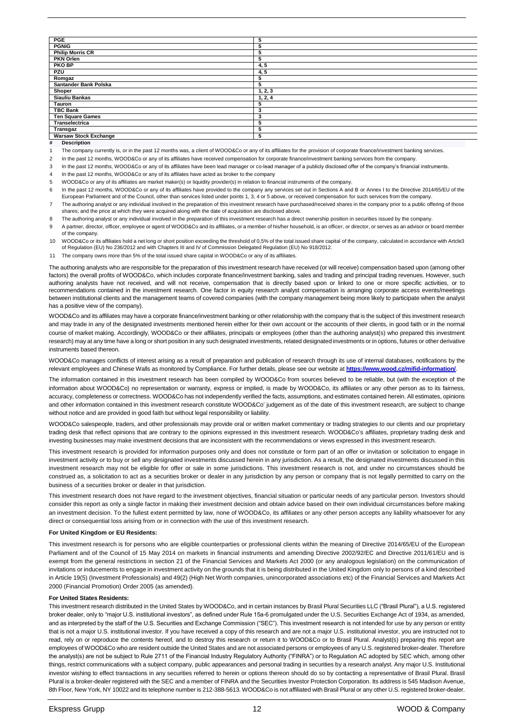| <b>PGE</b>                   | 5       |
|------------------------------|---------|
| <b>PGNIG</b>                 | 5       |
| <b>Philip Morris CR</b>      | 5       |
| <b>PKN Orlen</b>             | 5       |
| <b>PKO BP</b>                | 4, 5    |
| PZU                          | 4, 5    |
| Romgaz                       | 5       |
| Santander Bank Polska        | 5       |
| Shoper                       | 1, 2, 3 |
| <b>Siauliu Bankas</b>        | 1, 2, 4 |
| Tauron                       | 5       |
| <b>TBC Bank</b>              | 3       |
| <b>Ten Square Games</b>      | з       |
| Transelectrica               | 5       |
| Transgaz                     | 5       |
| <b>Warsaw Stock Exchange</b> | 5       |
| .                            |         |

**# Description**

The company currently is, or in the past 12 months was, a client of WOOD&Co or any of its affiliates for the provision of corporate finance/investment banking services.

2 In the past 12 months, WOOD&Co or any of its affiliates have received compensation for corporate finance/investment banking services from the company

3 In the past 12 months, WOOD&Co or any of its affiliates have been lead manager or co-lead manager of a publicly disclosed offer of the company's financial instruments.

4 In the past 12 months, WOOD&Co or any of its affilates have acted as broker to the company

5 WOOD&Co or any of its affiliates are market maker(s) or liquidity provider(s) in relation to financial instruments of the company.

6 In the past 12 months, WOOD&Co or any of its affiliates have provided to the company any services set out in Sections A and B or Annex I to the Directive 2014/65/EU of the European Parliament and of the Council, other than services listed under points 1, 3, 4 or 5 above, or received compensation for such services from the company.

7 The authoring analyst or any individual involved in the preparation of this investment research have purchased/received shares in the company prior to a public offering of those shares; and the price at which they were acquired along with the date of acquisition are disclosed above.

8 The authoring analyst or any individual involved in the preparation of this investment research has a direct ownership position in securities issued by the company.

9 A partner, director, officer, employee or agent of WOOD&Co and its affiliates, or a member of his/her household, is an officer, or director, or serves as an advisor or board member of the company.

10 WOOD&Co or its affiliates hold a net long or short position exceeding the threshold of 0,5% of the total issued share capital of the company, calculated in accordance with Artcle3 of Regulation (EU) No 236/2012 and with Chapters III and IV of Commission Delegated Regulation (EU) No 918/2012.

11 The company owns more than 5% of the total issued share capital in WOOD&Co or any of its affiliates.

The authoring analysts who are responsible for the preparation of this investment research have received (or will receive) compensation based upon (among other factors) the overall profits of WOOD&Co, which includes corporate finance/investment banking, sales and trading and principal trading revenues. However, such authoring analysts have not received, and will not receive, compensation that is directly based upon or linked to one or more specific activities, or to recommendations contained in the investment research. One factor in equity research analyst compensation is arranging corporate access events/meetings between institutional clients and the management teams of covered companies (with the company management being more likely to participate when the analyst has a positive view of the company).

WOOD&Co and its affiliates may have a corporate finance/investment banking or other relationship with the company that is the subject of this investment research and may trade in any of the designated investments mentioned herein either for their own account or the accounts of their clients, in good faith or in the normal course of market making. Accordingly, WOOD&Co or their affiliates, principals or employees (other than the authoring analyst(s) who prepared this investment research) may at any time have a long or short position in any such designated investments, related designated investments or in options, futures or other derivative instruments based thereon.

WOOD&Co manages conflicts of interest arising as a result of preparation and publication of research through its use of internal databases, notifications by the relevant employees and Chinese Walls as monitored by Compliance. For further details, please see our website at **https://www.wood.cz/mifid-information/**.

The information contained in this investment research has been compiled by WOOD&Co from sources believed to be reliable, but (with the exception of the information about WOOD&Co) no representation or warranty, express or implied, is made by WOOD&Co, its affiliates or any other person as to its fairness, accuracy, completeness or correctness. WOOD&Co has not independently verified the facts, assumptions, and estimates contained herein. All estimates, opinions and other information contained in this investment research constitute WOOD&Co' judgement as of the date of this investment research, are subject to change without notice and are provided in good faith but without legal responsibility or liability.

WOOD&Co salespeople, traders, and other professionals may provide oral or written market commentary or trading strategies to our clients and our proprietary trading desk that reflect opinions that are contrary to the opinions expressed in this investment research. WOOD&Co's affiliates, proprietary trading desk and investing businesses may make investment decisions that are inconsistent with the recommendations or views expressed in this investment research.

This investment research is provided for information purposes only and does not constitute or form part of an offer or invitation or solicitation to engage in investment activity or to buy or sell any designated investments discussed herein in any jurisdiction. As a result, the designated investments discussed in this investment research may not be eligible for offer or sale in some jurisdictions. This investment research is not, and under no circumstances should be construed as, a solicitation to act as a securities broker or dealer in any jurisdiction by any person or company that is not legally permitted to carry on the business of a securities broker or dealer in that jurisdiction.

This investment research does not have regard to the investment objectives, financial situation or particular needs of any particular person. Investors should consider this report as only a single factor in making their investment decision and obtain advice based on their own individual circumstances before making an investment decision. To the fullest extent permitted by law, none of WOOD&Co, its affiliates or any other person accepts any liability whatsoever for any direct or consequential loss arising from or in connection with the use of this investment research.

#### **For United Kingdom or EU Residents:**

This investment research is for persons who are eligible counterparties or professional clients within the meaning of Directive 2014/65/EU of the European Parliament and of the Council of 15 May 2014 on markets in financial instruments and amending Directive 2002/92/EC and Directive 2011/61/EU and is exempt from the general restrictions in section 21 of the Financial Services and Markets Act 2000 (or any analogous legislation) on the communication of invitations or inducements to engage in investment activity on the grounds that it is being distributed in the United Kingdom only to persons of a kind described in Article 19(5) (Investment Professionals) and 49(2) (High Net Worth companies, unincorporated associations etc) of the Financial Services and Markets Act 2000 (Financial Promotion) Order 2005 (as amended).

#### **For United States Residents:**

This investment research distributed in the United States by WOOD&Co, and in certain instances by Brasil Plural Securities LLC ("Brasil Plural"), a U.S. registered broker dealer, only to "major U.S. institutional investors", as defined under Rule 15a-6 promulgated under the U.S. Securities Exchange Act of 1934, as amended, and as interpreted by the staff of the U.S. Securities and Exchange Commission ("SEC"). This investment research is not intended for use by any person or entity that is not a major U.S. institutional investor. If you have received a copy of this research and are not a major U.S. institutional investor, you are instructed not to read, rely on or reproduce the contents hereof, and to destroy this research or return it to WOOD&Co or to Brasil Plural. Analyst(s) preparing this report are employees of WOOD&Co who are resident outside the United States and are not associated persons or employees of any U.S. registered broker-dealer. Therefore the analyst(s) are not be subject to Rule 2711 of the Financial Industry Regulatory Authority ("FINRA") or to Regulation AC adopted by SEC which, among other things, restrict communications with a subject company, public appearances and personal trading in securities by a research analyst. Any major U.S. Institutional investor wishing to effect transactions in any securities referred to herein or options thereon should do so by contacting a representative of Brasil Plural. Brasil Plural is a broker-dealer registered with the SEC and a member of FINRA and the Securities Investor Protection Corporation. Its address is 545 Madison Avenue, 8th Floor, New York, NY 10022 and its telephone number is 212-388-5613. WOOD&Co is not affiliated with Brasil Plural or any other U.S. registered broker-dealer.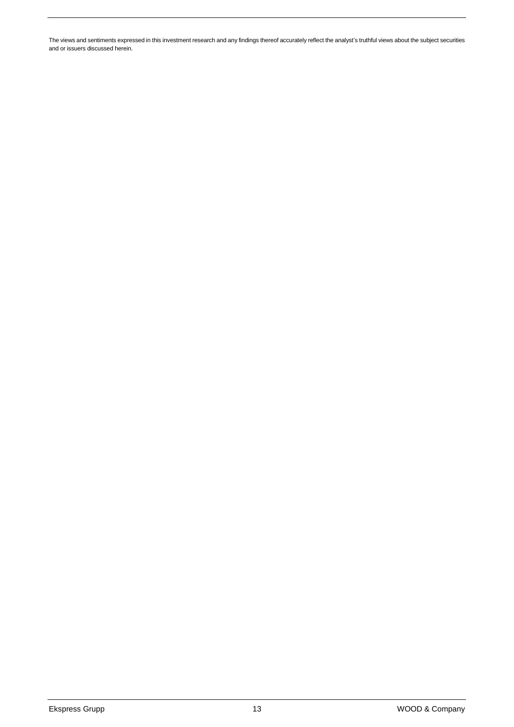The views and sentiments expressed in this investment research and any findings thereof accurately reflect the analyst's truthful views about the subject securities and or issuers discussed herein.